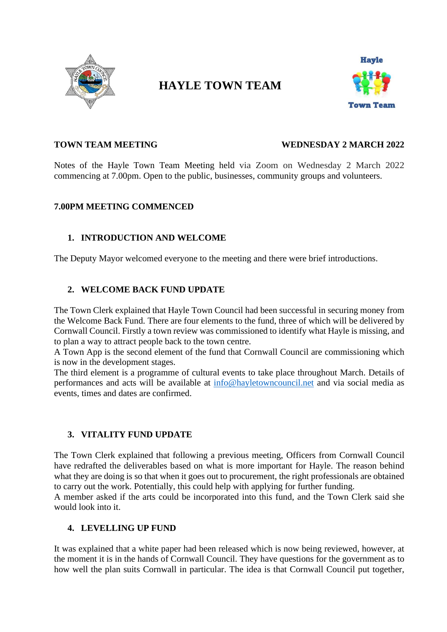

# **HAYLE TOWN TEAM**



#### **TOWN TEAM MEETING WEDNESDAY 2 MARCH 2022**

Notes of the Hayle Town Team Meeting held via Zoom on Wednesday 2 March 2022 commencing at 7.00pm. Open to the public, businesses, community groups and volunteers.

#### **7.00PM MEETING COMMENCED**

# **1. INTRODUCTION AND WELCOME**

The Deputy Mayor welcomed everyone to the meeting and there were brief introductions.

# **2. WELCOME BACK FUND UPDATE**

The Town Clerk explained that Hayle Town Council had been successful in securing money from the Welcome Back Fund. There are four elements to the fund, three of which will be delivered by Cornwall Council. Firstly a town review was commissioned to identify what Hayle is missing, and to plan a way to attract people back to the town centre.

A Town App is the second element of the fund that Cornwall Council are commissioning which is now in the development stages.

The third element is a programme of cultural events to take place throughout March. Details of performances and acts will be available at [info@hayletowncouncil.net](mailto:info@hayletowncouncil.net) and via social media as events, times and dates are confirmed.

### **3. VITALITY FUND UPDATE**

The Town Clerk explained that following a previous meeting, Officers from Cornwall Council have redrafted the deliverables based on what is more important for Hayle. The reason behind what they are doing is so that when it goes out to procurement, the right professionals are obtained to carry out the work. Potentially, this could help with applying for further funding.

A member asked if the arts could be incorporated into this fund, and the Town Clerk said she would look into it.

### **4. LEVELLING UP FUND**

It was explained that a white paper had been released which is now being reviewed, however, at the moment it is in the hands of Cornwall Council. They have questions for the government as to how well the plan suits Cornwall in particular. The idea is that Cornwall Council put together,